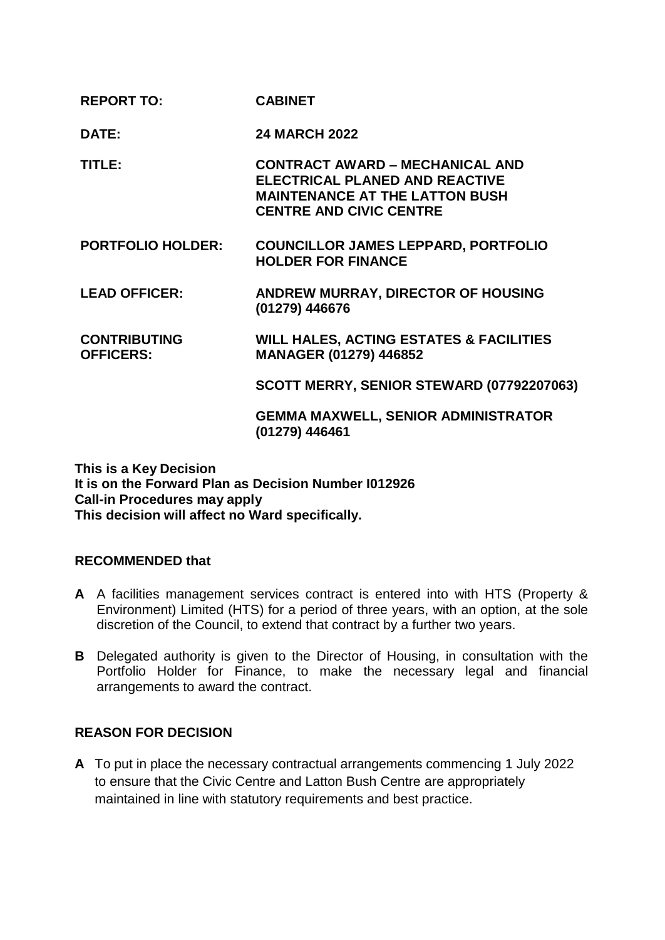| <b>REPORT TO:</b>                       | <b>CABINET</b>                                                                                                                                             |
|-----------------------------------------|------------------------------------------------------------------------------------------------------------------------------------------------------------|
| DATE:                                   | <b>24 MARCH 2022</b>                                                                                                                                       |
| TITLE:                                  | <b>CONTRACT AWARD - MECHANICAL AND</b><br><b>ELECTRICAL PLANED AND REACTIVE</b><br><b>MAINTENANCE AT THE LATTON BUSH</b><br><b>CENTRE AND CIVIC CENTRE</b> |
| <b>PORTFOLIO HOLDER:</b>                | <b>COUNCILLOR JAMES LEPPARD, PORTFOLIO</b><br><b>HOLDER FOR FINANCE</b>                                                                                    |
| <b>LEAD OFFICER:</b>                    | <b>ANDREW MURRAY, DIRECTOR OF HOUSING</b><br>(01279) 446676                                                                                                |
| <b>CONTRIBUTING</b><br><b>OFFICERS:</b> | <b>WILL HALES, ACTING ESTATES &amp; FACILITIES</b><br><b>MANAGER (01279) 446852</b>                                                                        |
|                                         | SCOTT MERRY, SENIOR STEWARD (07792207063)                                                                                                                  |
|                                         | <b>GEMMA MAXWELL, SENIOR ADMINISTRATOR</b><br>(01279) 446461                                                                                               |

**This is a Key Decision It is on the Forward Plan as Decision Number I012926 Call-in Procedures may apply This decision will affect no Ward specifically.**

# **RECOMMENDED that**

- **A** A facilities management services contract is entered into with HTS (Property & Environment) Limited (HTS) for a period of three years, with an option, at the sole discretion of the Council, to extend that contract by a further two years.
- **B** Delegated authority is given to the Director of Housing, in consultation with the Portfolio Holder for Finance, to make the necessary legal and financial arrangements to award the contract.

# **REASON FOR DECISION**

**A** To put in place the necessary contractual arrangements commencing 1 July 2022 to ensure that the Civic Centre and Latton Bush Centre are appropriately maintained in line with statutory requirements and best practice.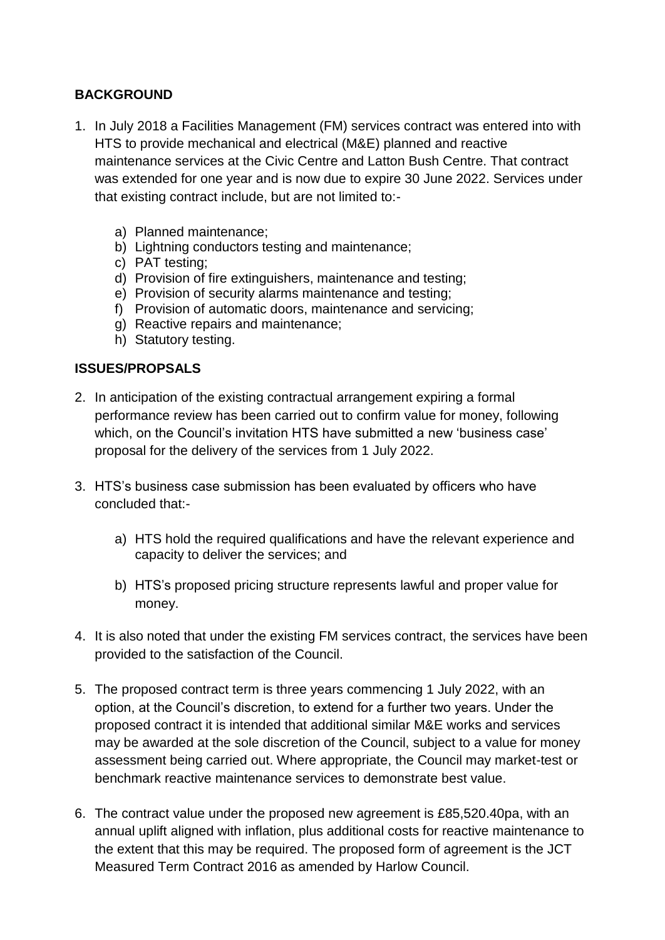# **BACKGROUND**

- 1. In July 2018 a Facilities Management (FM) services contract was entered into with HTS to provide mechanical and electrical (M&E) planned and reactive maintenance services at the Civic Centre and Latton Bush Centre. That contract was extended for one year and is now due to expire 30 June 2022. Services under that existing contract include, but are not limited to:
	- a) Planned maintenance;
	- b) Lightning conductors testing and maintenance;
	- c) PAT testing;
	- d) Provision of fire extinguishers, maintenance and testing;
	- e) Provision of security alarms maintenance and testing;
	- f) Provision of automatic doors, maintenance and servicing;
	- g) Reactive repairs and maintenance;
	- h) Statutory testing.

### **ISSUES/PROPSALS**

- 2. In anticipation of the existing contractual arrangement expiring a formal performance review has been carried out to confirm value for money, following which, on the Council's invitation HTS have submitted a new 'business case' proposal for the delivery of the services from 1 July 2022.
- 3. HTS's business case submission has been evaluated by officers who have concluded that:
	- a) HTS hold the required qualifications and have the relevant experience and capacity to deliver the services; and
	- b) HTS's proposed pricing structure represents lawful and proper value for money.
- 4. It is also noted that under the existing FM services contract, the services have been provided to the satisfaction of the Council.
- 5. The proposed contract term is three years commencing 1 July 2022, with an option, at the Council's discretion, to extend for a further two years. Under the proposed contract it is intended that additional similar M&E works and services may be awarded at the sole discretion of the Council, subject to a value for money assessment being carried out. Where appropriate, the Council may market-test or benchmark reactive maintenance services to demonstrate best value.
- 6. The contract value under the proposed new agreement is £85,520.40pa, with an annual uplift aligned with inflation, plus additional costs for reactive maintenance to the extent that this may be required. The proposed form of agreement is the JCT Measured Term Contract 2016 as amended by Harlow Council.